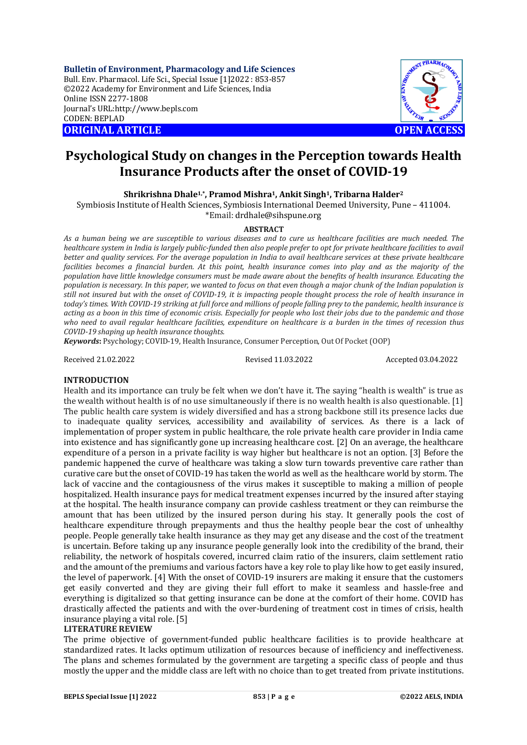**Bulletin of Environment, Pharmacology and Life Sciences** Bull. Env. Pharmacol. Life Sci., Special Issue [1]2022 : 853-857 ©2022 Academy for Environment and Life Sciences, India Online ISSN 2277-1808 Journal's URL:<http://www.bepls.com> CODEN: BEPLAD **ORIGINAL ARTICLE OPEN ACCESS** 



# **Psychological Study on changes in the Perception towards Health Insurance Products after the onset of COVID-19**

**Shrikrishna Dhale1,\*, Pramod Mishra1, Ankit Singh1, Tribarna Halder<sup>2</sup>**

Symbiosis Institute of Health Sciences, Symbiosis International Deemed University, Pune – 411004.

\*Email: [drdhale@sihspune.org](mailto:drdhale@sihspune.org)

### **ABSTRACT**

*As a human being we are susceptible to various diseases and to cure us healthcare facilities are much needed. The healthcare system in India is largely public-funded then also people prefer to opt for private healthcare facilities to avail better and quality services. For the average population in India to avail healthcare services at these private healthcare facilities becomes a financial burden. At this point, health insurance comes into play and as the majority of the population have little knowledge consumers must be made aware about the benefits of health insurance. Educating the population is necessary. In this paper, we wanted to focus on that even though a major chunk of the Indian population is still not insured but with the onset of COVID-19, it is impacting people thought process the role of health insurance in today's times. With COVID-19 striking at full force and millions of people falling prey to the pandemic, health insurance is acting as a boon in this time of economic crisis. Especially for people who lost their jobs due to the pandemic and those who need to avail regular healthcare facilities, expenditure on healthcare is a burden in the times of recession thus COVID-19 shaping up health insurance thoughts.*

*Keywords***:** Psychology; COVID-19, Health Insurance, Consumer Perception, Out Of Pocket (OOP)

Received 21.02.2022 Revised 11.03.2022 Accepted 03.04.2022

### **INTRODUCTION**

Health and its importance can truly be felt when we don't have it. The saying "health is wealth" is true as the wealth without health is of no use simultaneously if there is no wealth health is also questionable. [1] The public health care system is widely diversified and has a strong backbone still its presence lacks due to inadequate quality services, accessibility and availability of services. As there is a lack of implementation of proper system in public healthcare, the role private health care provider in India came into existence and has significantly gone up increasing healthcare cost. [2] On an average, the healthcare expenditure of a person in a private facility is way higher but healthcare is not an option. [3] Before the pandemic happened the curve of healthcare was taking a slow turn towards preventive care rather than curative care but the onset of COVID-19 has taken the world as well as the healthcare world by storm. The lack of vaccine and the contagiousness of the virus makes it susceptible to making a million of people hospitalized. Health insurance pays for medical treatment expenses incurred by the insured after staying at the hospital. The health insurance company can provide cashless treatment or they can reimburse the amount that has been utilized by the insured person during his stay. It generally pools the cost of healthcare expenditure through prepayments and thus the healthy people bear the cost of unhealthy people. People generally take health insurance as they may get any disease and the cost of the treatment is uncertain. Before taking up any insurance people generally look into the credibility of the brand, their reliability, the network of hospitals covered, incurred claim ratio of the insurers, claim settlement ratio and the amount of the premiums and various factors have a key role to play like how to get easily insured, the level of paperwork. [4] With the onset of COVID-19 insurers are making it ensure that the customers get easily converted and they are giving their full effort to make it seamless and hassle-free and everything is digitalized so that getting insurance can be done at the comfort of their home. COVID has drastically affected the patients and with the over-burdening of treatment cost in times of crisis, health insurance playing a vital role. [5]

### **LITERATURE REVIEW**

The prime objective of government-funded public healthcare facilities is to provide healthcare at standardized rates. It lacks optimum utilization of resources because of inefficiency and ineffectiveness. The plans and schemes formulated by the government are targeting a specific class of people and thus mostly the upper and the middle class are left with no choice than to get treated from private institutions.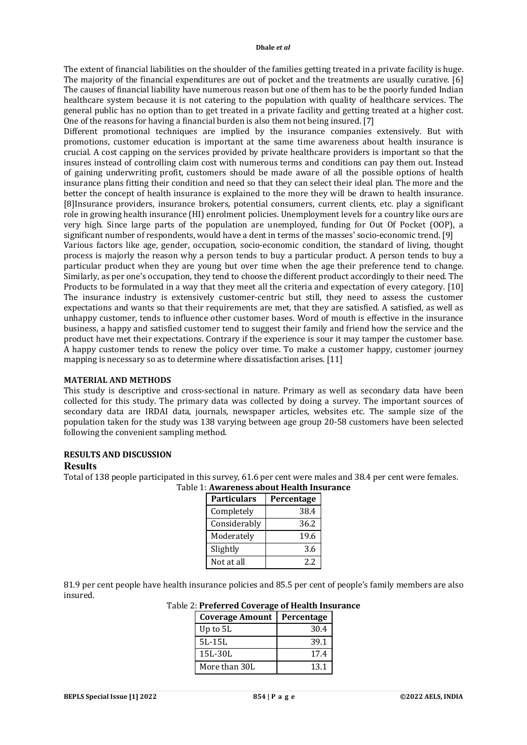The extent of financial liabilities on the shoulder of the families getting treated in a private facility is huge. The majority of the financial expenditures are out of pocket and the treatments are usually curative. [6] The causes of financial liability have numerous reason but one of them has to be the poorly funded Indian healthcare system because it is not catering to the population with quality of healthcare services. The general public has no option than to get treated in a private facility and getting treated at a higher cost. One of the reasons for having a financial burden is also them not being insured. [7]

Different promotional techniques are implied by the insurance companies extensively. But with promotions, customer education is important at the same time awareness about health insurance is crucial. A cost capping on the services provided by private healthcare providers is important so that the insures instead of controlling claim cost with numerous terms and conditions can pay them out. Instead of gaining underwriting profit, customers should be made aware of all the possible options of health insurance plans fitting their condition and need so that they can select their ideal plan. The more and the better the concept of health insurance is explained to the more they will be drawn to health insurance. [8]Insurance providers, insurance brokers, potential consumers, current clients, etc. play a significant role in growing health insurance (HI) enrolment policies. Unemployment levels for a country like ours are very high. Since large parts of the population are unemployed, funding for Out Of Pocket (OOP), a significant number of respondents, would have a dent in terms of the masses' socio-economic trend. [9]

Various factors like age, gender, occupation, socio-economic condition, the standard of living, thought process is majorly the reason why a person tends to buy a particular product. A person tends to buy a particular product when they are young but over time when the age their preference tend to change. Similarly, as per one's occupation, they tend to choose the different product accordingly to their need. The Products to be formulated in a way that they meet all the criteria and expectation of every category. [10] The insurance industry is extensively customer-centric but still, they need to assess the customer expectations and wants so that their requirements are met, that they are satisfied. A satisfied, as well as unhappy customer, tends to influence other customer bases. Word of mouth is effective in the insurance business, a happy and satisfied customer tend to suggest their family and friend how the service and the product have met their expectations. Contrary if the experience is sour it may tamper the customer base. A happy customer tends to renew the policy over time. To make a customer happy, customer journey mapping is necessary so as to determine where dissatisfaction arises. [11]

### **MATERIAL AND METHODS**

This study is descriptive and cross-sectional in nature. Primary as well as secondary data have been collected for this study. The primary data was collected by doing a survey. The important sources of secondary data are IRDAI data, journals, newspaper articles, websites etc. The sample size of the population taken for the study was 138 varying between age group 20-58 customers have been selected following the convenient sampling method.

### **RESULTS AND DISCUSSION**

#### **Results**

Total of 138 people participated in this survey, 61.6 per cent were males and 38.4 per cent were females.<br>Table 1: Awareness about Health Insurance

| Table 1: Awareness about Health Insurance |  |
|-------------------------------------------|--|
|                                           |  |

| Particulars  | Percentage |  |
|--------------|------------|--|
| Completely   | 38.4       |  |
| Considerably | 36.2       |  |
| Moderately   | 19.6       |  |
| Slightly     | 3.6        |  |
| Not at all   | 2.2        |  |

81.9 per cent people have health insurance policies and 85.5 per cent of people's family members are also insured.

| 2. 1 Teleft cu coverage of ficalen filou |            |  |
|------------------------------------------|------------|--|
| <b>Coverage Amount</b>                   | Percentage |  |
| Up to 5L                                 | 30.4       |  |
| $5L-15L$                                 | 39.1       |  |
| 15L-30L                                  | 17.4       |  |
| More than 30L                            | 13.1       |  |

Table 2: **Preferred Coverage of Health Insurance**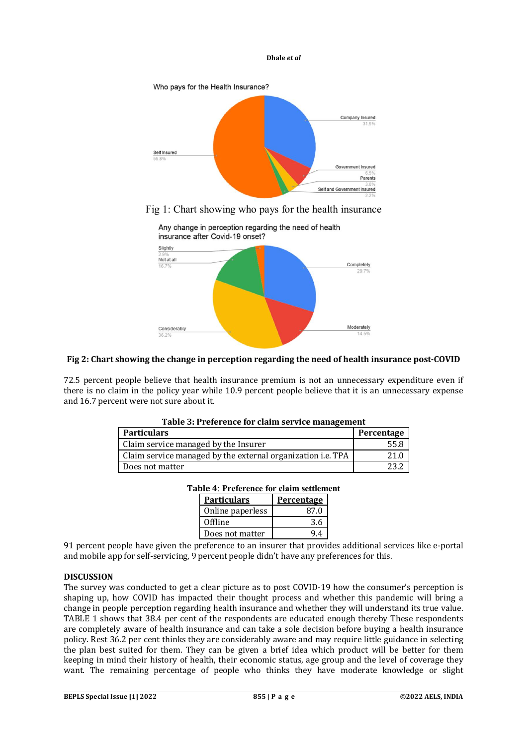

Fig 1: Chart showing who pays for the health insurance



# **Fig 2: Chart showing the change in perception regarding the need of health insurance post-COVID**

72.5 percent people believe that health insurance premium is not an unnecessary expenditure even if there is no claim in the policy year while 10.9 percent people believe that it is an unnecessary expense and 16.7 percent were not sure about it.

**Table 3: Preference for claim service management**

| Tubic of Frenchee for earninger fiee management                    |            |  |
|--------------------------------------------------------------------|------------|--|
| <b>Particulars</b>                                                 | Percentage |  |
| Claim service managed by the Insurer                               | 55.8       |  |
| Claim service managed by the external organization <i>i.e.</i> TPA | 21.0       |  |
| Does not matter                                                    |            |  |

| <b>Table 4: Preference for claim settlement</b> |  |  |
|-------------------------------------------------|--|--|

| <b>Particulars</b> | Percentage |  |
|--------------------|------------|--|
| Online paperless   | 87 O       |  |
| Offline            | 3.6        |  |
| Does not matter    |            |  |

91 percent people have given the preference to an insurer that provides additional services like e-portal and mobile app for self-servicing, 9 percent people didn't have any preferences for this.

# **DISCUSSION**

The survey was conducted to get a clear picture as to post COVID-19 how the consumer's perception is shaping up, how COVID has impacted their thought process and whether this pandemic will bring a change in people perception regarding health insurance and whether they will understand its true value. TABLE 1 shows that 38.4 per cent of the respondents are educated enough thereby These respondents are completely aware of health insurance and can take a sole decision before buying a health insurance policy. Rest 36.2 per cent thinks they are considerably aware and may require little guidance in selecting the plan best suited for them. They can be given a brief idea which product will be better for them keeping in mind their history of health, their economic status, age group and the level of coverage they want. The remaining percentage of people who thinks they have moderate knowledge or slight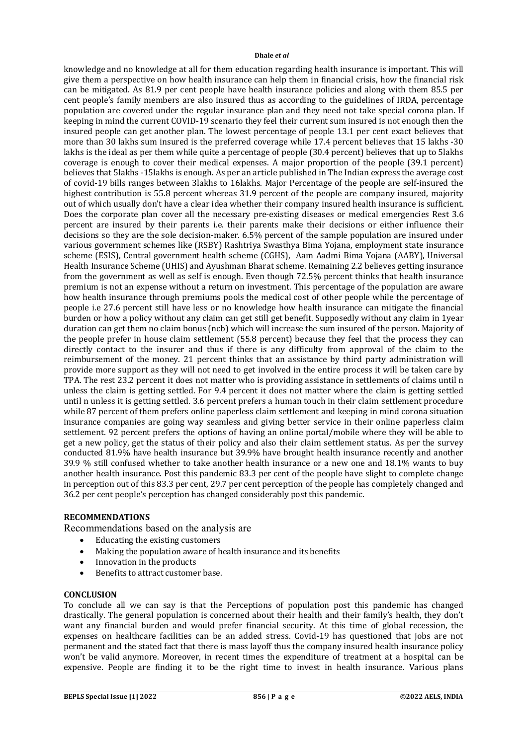knowledge and no knowledge at all for them education regarding health insurance is important. This will give them a perspective on how health insurance can help them in financial crisis, how the financial risk can be mitigated. As 81.9 per cent people have health insurance policies and along with them 85.5 per cent people's family members are also insured thus as according to the guidelines of IRDA, percentage population are covered under the regular insurance plan and they need not take special corona plan. If keeping in mind the current COVID-19 scenario they feel their current sum insured is not enough then the insured people can get another plan. The lowest percentage of people 13.1 per cent exact believes that more than 30 lakhs sum insured is the preferred coverage while 17.4 percent believes that 15 lakhs -30 lakhs is the ideal as per them while quite a percentage of people (30.4 percent) believes that up to 5lakhs coverage is enough to cover their medical expenses. A major proportion of the people (39.1 percent) believes that 5lakhs -15lakhs is enough. As per an article published in The Indian express the average cost of covid-19 bills ranges between 3lakhs to 16lakhs. Major Percentage of the people are self-insured the highest contribution is 55.8 percent whereas 31.9 percent of the people are company insured, majority out of which usually don't have a clear idea whether their company insured health insurance is sufficient. Does the corporate plan cover all the necessary pre-existing diseases or medical emergencies Rest 3.6 percent are insured by their parents i.e. their parents make their decisions or either influence their decisions so they are the sole decision-maker. 6.5% percent of the sample population are insured under various government schemes like (RSBY) Rashtriya Swasthya Bima Yojana, employment state insurance scheme (ESIS), Central government health scheme (CGHS), Aam Aadmi Bima Yojana (AABY), Universal Health Insurance Scheme (UHIS) and Ayushman Bharat scheme. Remaining 2.2 believes getting insurance from the government as well as self is enough. Even though 72.5% percent thinks that health insurance premium is not an expense without a return on investment. This percentage of the population are aware how health insurance through premiums pools the medical cost of other people while the percentage of people i.e 27.6 percent still have less or no knowledge how health insurance can mitigate the financial burden or how a policy without any claim can get still get benefit. Supposedly without any claim in 1year duration can get them no claim bonus (ncb) which will increase the sum insured of the person. Majority of the people prefer in house claim settlement (55.8 percent) because they feel that the process they can directly contact to the insurer and thus if there is any difficulty from approval of the claim to the reimbursement of the money. 21 percent thinks that an assistance by third party administration will provide more support as they will not need to get involved in the entire process it will be taken care by TPA. The rest 23.2 percent it does not matter who is providing assistance in settlements of claims until n unless the claim is getting settled. For 9.4 percent it does not matter where the claim is getting settled until n unless it is getting settled. 3.6 percent prefers a human touch in their claim settlement procedure while 87 percent of them prefers online paperless claim settlement and keeping in mind corona situation insurance companies are going way seamless and giving better service in their online paperless claim settlement. 92 percent prefers the options of having an online portal/mobile where they will be able to get a new policy, get the status of their policy and also their claim settlement status. As per the survey conducted 81.9% have health insurance but 39.9% have brought health insurance recently and another 39.9 % still confused whether to take another health insurance or a new one and 18.1% wants to buy another health insurance. Post this pandemic 83.3 per cent of the people have slight to complete change in perception out of this 83.3 per cent, 29.7 per cent perception of the people has completely changed and 36.2 per cent people's perception has changed considerably post this pandemic.

# **RECOMMENDATIONS**

Recommendations based on the analysis are

- Educating the existing customers
- Making the population aware of health insurance and its benefits
- Innovation in the products
- Benefits to attract customer base.

### **CONCLUSION**

To conclude all we can say is that the Perceptions of population post this pandemic has changed drastically. The general population is concerned about their health and their family's health, they don't want any financial burden and would prefer financial security. At this time of global recession, the expenses on healthcare facilities can be an added stress. Covid-19 has questioned that jobs are not permanent and the stated fact that there is mass layoff thus the company insured health insurance policy won't be valid anymore. Moreover, in recent times the expenditure of treatment at a hospital can be expensive. People are finding it to be the right time to invest in health insurance. Various plans